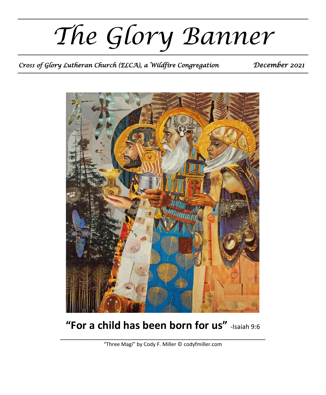*The Glory Banner*

*Cross of Glory Lutheran Church (ELCA), a Wildfire Congregation December 2021* 



# **"For a child has been born for us"** -Isaiah 9:6

\_\_\_\_\_\_\_\_\_\_\_\_\_\_\_\_\_\_\_\_\_\_\_\_\_\_\_\_\_\_\_\_\_\_\_\_\_\_\_\_\_\_\_\_\_\_\_\_\_\_\_\_\_\_\_\_\_\_ "Three Magi" by Cody F. Miller © codyfmiller.com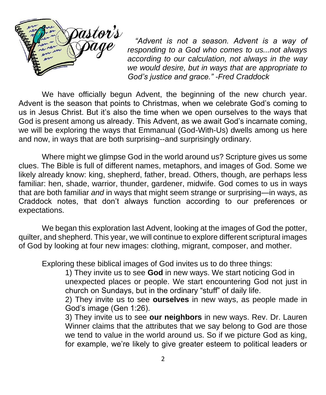

*"Advent is not a season. Advent is a way of responding to a God who comes to us...not always according to our calculation, not always in the way we would desire, but in ways that are appropriate to God's justice and grace." -Fred Craddock*

We have officially begun Advent, the beginning of the new church year. Advent is the season that points to Christmas, when we celebrate God's coming to us in Jesus Christ. But it's also the time when we open ourselves to the ways that God is present among us already. This Advent, as we await God's incarnate coming, we will be exploring the ways that Emmanual (God-With-Us) dwells among us here and now, in ways that are both surprising--and surprisingly ordinary.

Where might we glimpse God in the world around us? Scripture gives us some clues. The Bible is full of different names, metaphors, and images of God. Some we likely already know: king, shepherd, father, bread. Others, though, are perhaps less familiar: hen, shade, warrior, thunder, gardener, midwife. God comes to us in ways that are both familiar *and* in ways that might seem strange or surprising—in ways, as Craddock notes, that don't always function according to our preferences or expectations.

We began this exploration last Advent, looking at the images of God the potter, quilter, and shepherd. This year, we will continue to explore different scriptural images of God by looking at four new images: clothing, migrant, composer, and mother.

Exploring these biblical images of God invites us to do three things:

1) They invite us to see **God** in new ways. We start noticing God in unexpected places or people. We start encountering God not just in church on Sundays, but in the ordinary "stuff" of daily life.

2) They invite us to see **ourselves** in new ways, as people made in God's image (Gen 1:26).

3) They invite us to see **our neighbors** in new ways. Rev. Dr. Lauren Winner claims that the attributes that we say belong to God are those we tend to value in the world around us. So if we picture God as king, for example, we're likely to give greater esteem to political leaders or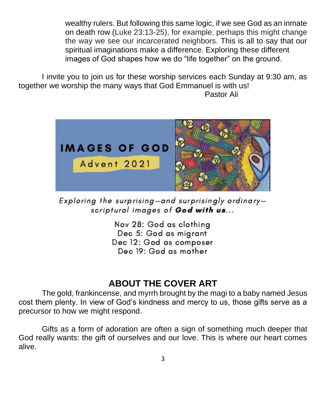wealthy rulers. But following this same logic, if we see God as an inmate on death row (Luke 23:13-25), for example, perhaps this might change the way we see our incarcerated neighbors. This is all to say that our spiritual imaginations make a difference. Exploring these different images of God shapes how we do "life together" on the ground.

I invite you to join us for these worship services each Sunday at 9:30 am, as together we worship the many ways that God Emmanuel is with us! Pastor Ali



Exploring the surprising-and surprisingly ordinaryscriptural images of God with us...

Nov 28: God as clothing Dec 5: God as migrant Dec 12: God as composer Dec 19: God as mother

#### **ABOUT THE COVER ART**

The gold, frankincense, and myrrh brought by the magi to a baby named Jesus cost them plenty. In view of God's kindness and mercy to us, those gifts serve as a precursor to how we might respond.

Gifts as a form of adoration are often a sign of something much deeper that God really wants: the gift of ourselves and our love. This is where our heart comes alive.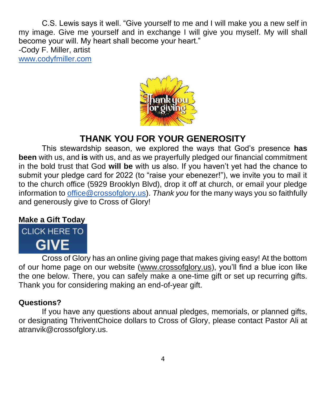C.S. Lewis says it well. "Give yourself to me and I will make you a new self in my image. Give me yourself and in exchange I will give you myself. My will shall become your will. My heart shall become your heart."

-Cody F. Miller, artist [www.codyfmiller.com](http://www.codyfmiller.com/)



## **THANK YOU FOR YOUR GENEROSITY**

This stewardship season, we explored the ways that God's presence **has been** with us, and **is** with us, and as we prayerfully pledged our financial commitment in the bold trust that God **will be** with us also. If you haven't yet had the chance to submit your pledge card for 2022 (to "raise your ebenezer!"), we invite you to mail it to the church office (5929 Brooklyn Blvd), drop it off at church, or email your pledge information to [office@crossofglory.us\)](mailto:office@crossofglory.us). *Thank you* for the many ways you so faithfully and generously give to Cross of Glory!

#### **Make a Gift Today**



Cross of Glory has an online giving page that makes giving easy! At the bottom of our home page on our website [\(www.crossofglory.us\)](http://www.crossofglory.us/), you'll find a blue icon like the one below. There, you can safely make a one-time gift or set up recurring gifts. Thank you for considering making an end-of-year gift.

#### **Questions?**

If you have any questions about annual pledges, memorials, or planned gifts, or designating ThriventChoice dollars to Cross of Glory, please contact Pastor Ali at atranvik@crossofglory.us.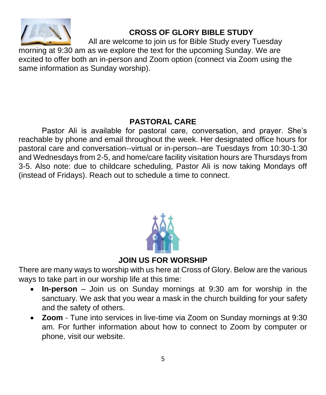

### **CROSS OF GLORY BIBLE STUDY**

All are welcome to join us for Bible Study every Tuesday

morning at 9:30 am as we explore the text for the upcoming Sunday. We are excited to offer both an in-person and Zoom option (connect via Zoom using the same information as Sunday worship).

#### **PASTORAL CARE**

Pastor Ali is available for pastoral care, conversation, and prayer. She's reachable by phone and email throughout the week. Her designated office hours for pastoral care and conversation--virtual or in-person--are Tuesdays from 10:30-1:30 and Wednesdays from 2-5, and home/care facility visitation hours are Thursdays from 3-5. Also note: due to childcare scheduling, Pastor Ali is now taking Mondays off (instead of Fridays). Reach out to schedule a time to connect.



**JOIN US FOR WORSHIP**

There are many ways to worship with us here at Cross of Glory. Below are the various ways to take part in our worship life at this time:

- **In-person**  Join us on Sunday mornings at 9:30 am for worship in the sanctuary. We ask that you wear a mask in the church building for your safety and the safety of others.
- **Zoom** Tune into services in live-time via Zoom on Sunday mornings at 9:30 am. For further information about how to connect to Zoom by computer or phone, visit our website.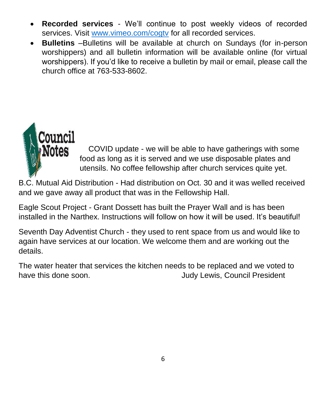- **Recorded services** We'll continue to post weekly videos of recorded services. Visit [www.vimeo.com/cogtv](http://www.vimeo.com/cogtv) for all recorded services.
- **Bulletins** –Bulletins will be available at church on Sundays (for in-person worshippers) and all bulletin information will be available online (for virtual worshippers). If you'd like to receive a bulletin by mail or email, please call the church office at 763-533-8602.



COVID update - we will be able to have gatherings with some food as long as it is served and we use disposable plates and utensils. No coffee fellowship after church services quite yet.

B.C. Mutual Aid Distribution - Had distribution on Oct. 30 and it was welled received and we gave away all product that was in the Fellowship Hall.

Eagle Scout Project - Grant Dossett has built the Prayer Wall and is has been installed in the Narthex. Instructions will follow on how it will be used. It's beautiful!

Seventh Day Adventist Church - they used to rent space from us and would like to again have services at our location. We welcome them and are working out the details.

The water heater that services the kitchen needs to be replaced and we voted to have this done soon. **If all all a set of the set of the set of the set of the set of the set of the set of the set of the set of the set of the set of the set of the set of the set of the set of the set of the set of the**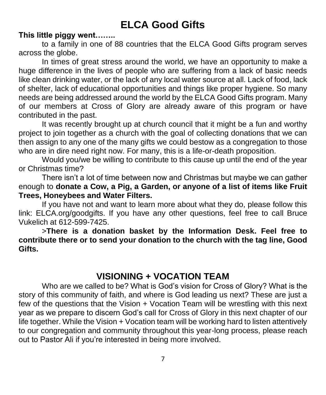## **ELCA Good Gifts**

#### **This little piggy went……..**

to a family in one of 88 countries that the ELCA Good Gifts program serves across the globe.

In times of great stress around the world, we have an opportunity to make a huge difference in the lives of people who are suffering from a lack of basic needs like clean drinking water, or the lack of any local water source at all. Lack of food, lack of shelter, lack of educational opportunities and things like proper hygiene. So many needs are being addressed around the world by the ELCA Good Gifts program. Many of our members at Cross of Glory are already aware of this program or have contributed in the past.

It was recently brought up at church council that it might be a fun and worthy project to join together as a church with the goal of collecting donations that we can then assign to any one of the many gifts we could bestow as a congregation to those who are in dire need right now. For many, this is a life-or-death proposition.

Would you/we be willing to contribute to this cause up until the end of the year or Christmas time?

There isn't a lot of time between now and Christmas but maybe we can gather enough to **donate a Cow, a Pig, a Garden, or anyone of a list of items like Fruit Trees, Honeybees and Water Filters.** 

If you have not and want to learn more about what they do, please follow this link: ELCA.org/goodgifts. If you have any other questions, feel free to call Bruce Vukelich at 612-599-7425.

>**There is a donation basket by the Information Desk. Feel free to contribute there or to send your donation to the church with the tag line, Good Gifts.** 

### **VISIONING + VOCATION TEAM**

Who are we called to be? What is God's vision for Cross of Glory? What is the story of this community of faith, and where is God leading us next? These are just a few of the questions that the Vision + Vocation Team will be wrestling with this next year as we prepare to discern God's call for Cross of Glory in this next chapter of our life together. While the Vision + Vocation team will be working hard to listen attentively to our congregation and community throughout this year-long process, please reach out to Pastor Ali if you're interested in being more involved.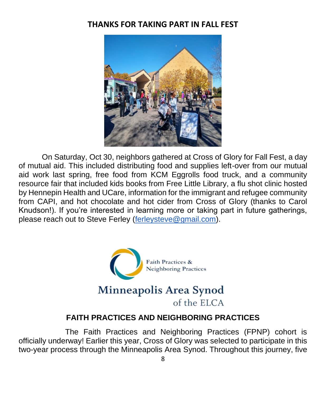### **THANKS FOR TAKING PART IN FALL FEST**



On Saturday, Oct 30, neighbors gathered at Cross of Glory for Fall Fest, a day of mutual aid. This included distributing food and supplies left-over from our mutual aid work last spring, free food from KCM Eggrolls food truck, and a community resource fair that included kids books from Free Little Library, a flu shot clinic hosted by Hennepin Health and UCare, information for the immigrant and refugee community from CAPI, and hot chocolate and hot cider from Cross of Glory (thanks to Carol Knudson!). If you're interested in learning more or taking part in future gatherings, please reach out to Steve Ferley [\(ferleysteve@gmail.com\)](mailto:ferleysteve@gmail.com).



#### **FAITH PRACTICES AND NEIGHBORING PRACTICES**

The Faith Practices and Neighboring Practices (FPNP) cohort is officially underway! Earlier this year, Cross of Glory was selected to participate in this two-year process through the Minneapolis Area Synod. Throughout this journey, five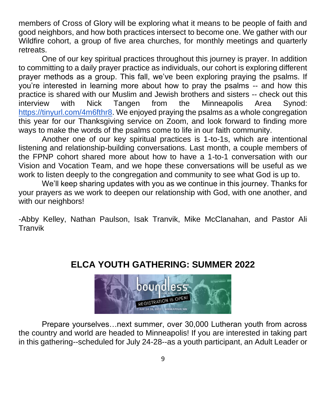members of Cross of Glory will be exploring what it means to be people of faith and good neighbors, and how both practices intersect to become one. We gather with our Wildfire cohort, a group of five area churches, for monthly meetings and quarterly retreats.

One of our key spiritual practices throughout this journey is prayer. In addition to committing to a daily prayer practice as individuals, our cohort is exploring different prayer methods as a group. This fall, we've been exploring praying the psalms. If you're interested in learning more about how to pray the psalms -- and how this practice is shared with our Muslim and Jewish brothers and sisters -- check out this interview with Nick Tangen from the Minneapolis Area Synod: [https://tinyurl.com/4m6fthr8.](https://tinyurl.com/4m6fthr8) We enjoyed praying the psalms as a whole congregation this year for our Thanksgiving service on Zoom, and look forward to finding more ways to make the words of the psalms come to life in our faith community.

Another one of our key spiritual practices is 1-to-1s, which are intentional listening and relationship-building conversations. Last month, a couple members of the FPNP cohort shared more about how to have a 1-to-1 conversation with our Vision and Vocation Team, and we hope these conversations will be useful as we work to listen deeply to the congregation and community to see what God is up to.

We'll keep sharing updates with you as we continue in this journey. Thanks for your prayers as we work to deepen our relationship with God, with one another, and with our neighbors!

-Abby Kelley, Nathan Paulson, Isak Tranvik, Mike McClanahan, and Pastor Ali Tranvik



### **ELCA YOUTH GATHERING: SUMMER 2022**

Prepare yourselves…next summer, over 30,000 Lutheran youth from across the country and world are headed to Minneapolis! If you are interested in taking part in this gathering--scheduled for July 24-28--as a youth participant, an Adult Leader or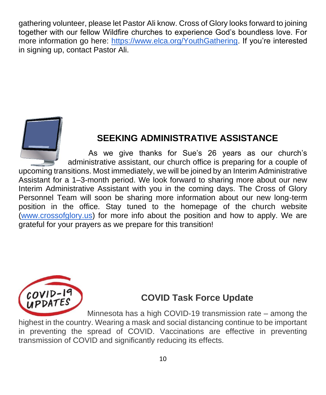gathering volunteer, please let Pastor Ali know. Cross of Glory looks forward to joining together with our fellow Wildfire churches to experience God's boundless love. For more information go here: [https://www.elca.org/YouthGathering.](https://www.elca.org/YouthGathering) If you're interested in signing up, contact Pastor Ali.



### **SEEKING ADMINISTRATIVE ASSISTANCE**

As we give thanks for Sue's 26 years as our church's administrative assistant, our church office is preparing for a couple of upcoming transitions. Most immediately, we will be joined by an Interim Administrative Assistant for a 1–3-month period. We look forward to sharing more about our new Interim Administrative Assistant with you in the coming days. The Cross of Glory Personnel Team will soon be sharing more information about our new long-term position in the office. Stay tuned to the homepage of the church website [\(www.crossofglory.us\)](http://www.crossofglory.us/) for more info about the position and how to apply. We are grateful for your prayers as we prepare for this transition!



### **COVID Task Force Update**

Minnesota has a high COVID-19 transmission rate – among the highest in the country. Wearing a mask and social distancing continue to be important in preventing the spread of COVID. Vaccinations are effective in preventing transmission of COVID and significantly reducing its effects.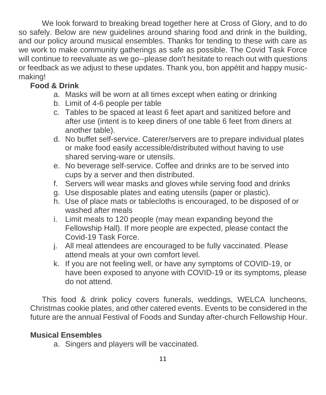We look forward to breaking bread together here at Cross of Glory, and to do so safely. Below are new guidelines around sharing food and drink in the building, and our policy around musical ensembles. Thanks for tending to these with care as we work to make community gatherings as safe as possible. The Covid Task Force will continue to reevaluate as we go--please don't hesitate to reach out with questions or feedback as we adjust to these updates. Thank you, bon appétit and happy musicmaking!

### **Food & Drink**

- a. Masks will be worn at all times except when eating or drinking
- b. Limit of 4-6 people per table
- c. Tables to be spaced at least 6 feet apart and sanitized before and after use (intent is to keep diners of one table 6 feet from diners at another table).
- d. No buffet self-service. Caterer/servers are to prepare individual plates or make food easily accessible/distributed without having to use shared serving-ware or utensils.
- e. No beverage self-service. Coffee and drinks are to be served into cups by a server and then distributed.
- f. Servers will wear masks and gloves while serving food and drinks
- g. Use disposable plates and eating utensils (paper or plastic).
- h. Use of place mats or tablecloths is encouraged, to be disposed of or washed after meals
- i. Limit meals to 120 people (may mean expanding beyond the Fellowship Hall). If more people are expected, please contact the Covid-19 Task Force.
- j. All meal attendees are encouraged to be fully vaccinated. Please attend meals at your own comfort level.
- k. If you are not feeling well, or have any symptoms of COVID-19, or have been exposed to anyone with COVID-19 or its symptoms, please do not attend.

This food & drink policy covers funerals, weddings, WELCA luncheons, Christmas cookie plates, and other catered events. Events to be considered in the future are the annual Festival of Foods and Sunday after-church Fellowship Hour.

#### **Musical Ensembles**

a. Singers and players will be vaccinated.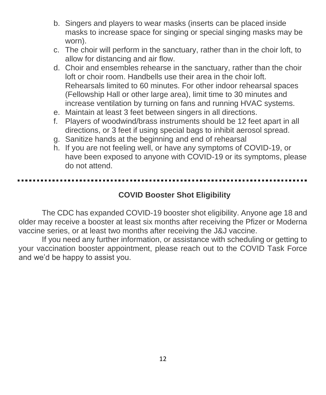- b. Singers and players to wear masks (inserts can be placed inside masks to increase space for singing or special singing masks may be worn).
- c. The choir will perform in the sanctuary, rather than in the choir loft, to allow for distancing and air flow.
- d. Choir and ensembles rehearse in the sanctuary, rather than the choir loft or choir room. Handbells use their area in the choir loft. Rehearsals limited to 60 minutes. For other indoor rehearsal spaces (Fellowship Hall or other large area), limit time to 30 minutes and increase ventilation by turning on fans and running HVAC systems.
- e. Maintain at least 3 feet between singers in all directions.
- f. Players of woodwind/brass instruments should be 12 feet apart in all directions, or 3 feet if using special bags to inhibit aerosol spread.
- g. Sanitize hands at the beginning and end of rehearsal
- h. If you are not feeling well, or have any symptoms of COVID-19, or have been exposed to anyone with COVID-19 or its symptoms, please do not attend.

#### **COVID Booster Shot Eligibility**

The CDC has expanded COVID-19 booster shot eligibility. Anyone age 18 and older may receive a booster at least six months after receiving the Pfizer or Moderna vaccine series, or at least two months after receiving the J&J vaccine.

If you need any further information, or assistance with scheduling or getting to your vaccination booster appointment, please reach out to the COVID Task Force and we'd be happy to assist you.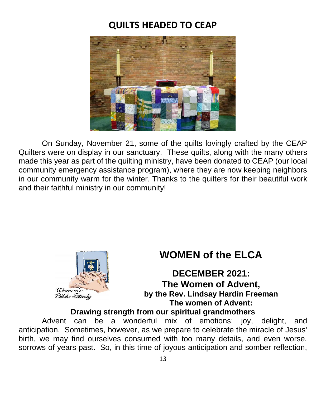### **QUILTS HEADED TO CEAP**



On Sunday, November 21, some of the quilts lovingly crafted by the CEAP Quilters were on display in our sanctuary. These quilts, along with the many others made this year as part of the quilting ministry, have been donated to CEAP (our local community emergency assistance program), where they are now keeping neighbors in our community warm for the winter. Thanks to the quilters for their beautiful work and their faithful ministry in our community!



## **WOMEN of the ELCA**

**DECEMBER 2021: The Women of Advent,** *Coments* **by the Rev. Lindsay Hardin Freeman The women of Advent:**

**Drawing strength from our spiritual grandmothers**

Advent can be a wonderful mix of emotions: joy, delight, and anticipation. Sometimes, however, as we prepare to celebrate the miracle of Jesus' birth, we may find ourselves consumed with too many details, and even worse, sorrows of years past. So, in this time of joyous anticipation and somber reflection,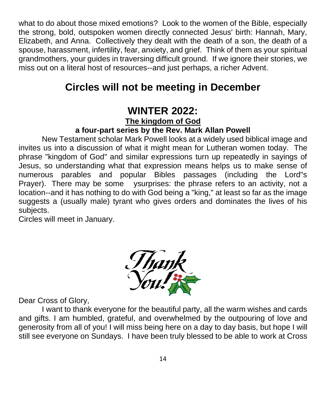what to do about those mixed emotions? Look to the women of the Bible, especially the strong, bold, outspoken women directly connected Jesus' birth: Hannah, Mary, Elizabeth, and Anna. Collectively they dealt with the death of a son, the death of a spouse, harassment, infertility, fear, anxiety, and grief. Think of them as your spiritual grandmothers, your guides in traversing difficult ground. If we ignore their stories, we miss out on a literal host of resources--and just perhaps, a richer Advent.

# **Circles will not be meeting in December**

### **WINTER 2022:**

**The kingdom of God**

#### **a four-part series by the Rev. Mark Allan Powell**

New Testament scholar Mark Powell looks at a widely used biblical image and invites us into a discussion of what it might mean for Lutheran women today. The phrase "kingdom of God" and similar expressions turn up repeatedly in sayings of Jesus, so understanding what that expression means helps us to make sense of numerous parables and popular Bibles passages (including the Lord"s Prayer). There may be some ysurprises: the phrase refers to an activity, not a location--and it has nothing to do with God being a "king," at least so far as the image suggests a (usually male) tyrant who gives orders and dominates the lives of his subjects.

Circles will meet in January.



Dear Cross of Glory,

I want to thank everyone for the beautiful party, all the warm wishes and cards and gifts. I am humbled, grateful, and overwhelmed by the outpouring of love and generosity from all of you! I will miss being here on a day to day basis, but hope I will still see everyone on Sundays. I have been truly blessed to be able to work at Cross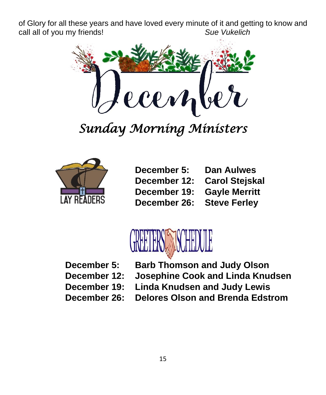of Glory for all these years and have loved every minute of it and getting to know and call all of you my friends! *Sue Vukelich*



*Sunday Morning Ministers* 



**December 5: Dan Aulwes December 12: Carol Stejskal December 19: Gayle Merritt December 26: Steve Ferley**



**December 5: Barb Thomson and Judy Olson**

**December 12: Josephine Cook and Linda Knudsen**

**December 19: Linda Knudsen and Judy Lewis**

**December 26: Delores Olson and Brenda Edstrom**